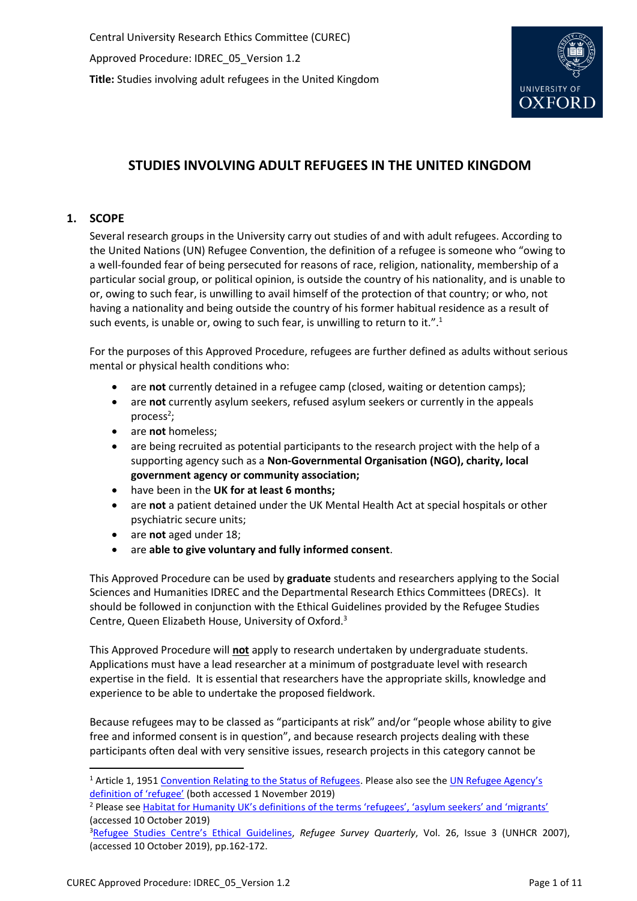

# **STUDIES INVOLVING ADULT REFUGEES IN THE UNITED KINGDOM**

# **1. SCOPE**

Several research groups in the University carry out studies of and with adult refugees. According to the United Nations (UN) Refugee Convention, the definition of a refugee is someone who "owing to a well-founded fear of being persecuted for reasons of race, religion, nationality, membership of a particular social group, or political opinion, is outside the country of his nationality, and is unable to or, owing to such fear, is unwilling to avail himself of the protection of that country; or who, not having a nationality and being outside the country of his former habitual residence as a result of such events, is unable or, owing to such fear, is unwilling to return to it.".<sup>1</sup>

For the purposes of this Approved Procedure, refugees are further defined as adults without serious mental or physical health conditions who:

- are **not** currently detained in a refugee camp (closed, waiting or detention camps);
- are **not** currently asylum seekers, refused asylum seekers or currently in the appeals process<sup>2</sup>;
- are **not** homeless;
- are being recruited as potential participants to the research project with the help of a supporting agency such as a **Non-Governmental Organisation (NGO), charity, local government agency or community association;**
- have been in the **UK for at least 6 months;**
- are **not** a patient detained under the UK Mental Health Act at special hospitals or other psychiatric secure units;
- are **not** aged under 18;
- are **able to give voluntary and fully informed consent**.

This Approved Procedure can be used by **graduate** students and researchers applying to the Social Sciences and Humanities IDREC and the Departmental Research Ethics Committees (DRECs). It should be followed in conjunction with the Ethical Guidelines provided by the Refugee Studies Centre, Queen Elizabeth House, University of Oxford.<sup>3</sup>

This Approved Procedure will **not** apply to research undertaken by undergraduate students. Applications must have a lead researcher at a minimum of postgraduate level with research expertise in the field. It is essential that researchers have the appropriate skills, knowledge and experience to be able to undertake the proposed fieldwork.

Because refugees may to be classed as "participants at risk" and/or "people whose ability to give free and informed consent is in question", and because research projects dealing with these participants often deal with very sensitive issues, research projects in this category cannot be

 $\overline{a}$ 

<sup>&</sup>lt;sup>1</sup> Article 1, 1951 [Convention Relating to the Status of Refugees.](https://www.ohchr.org/EN/ProfessionalInterest/Pages/StatusOfRefugees.aspx) Please also see the UN Refugee Agency's [definition of 'refugee'](https://www.unrefugees.org/refugee-facts/what-is-a-refugee/) (both accessed 1 November 2019)

<sup>&</sup>lt;sup>2</sup> Please see Habitat for Humanity UK's definitions [of the terms 'refugees', 'asylum seekers' and 'migrants'](https://www.habitatforhumanity.org.uk/blog/2016/09/refugees-asylum-seekers-migrants-crucial-difference/) (accessed 10 October 2019)

<sup>&</sup>lt;sup>3</sup>[Refugee Studies Centre](https://academic.oup.com/rsq/article/26/3/162/1590874)'s Ethical Guidelines, Refugee Survey Quarterly, Vol. 26, Issue 3 (UNHCR 2007), (accessed 10 October 2019), pp.162-172.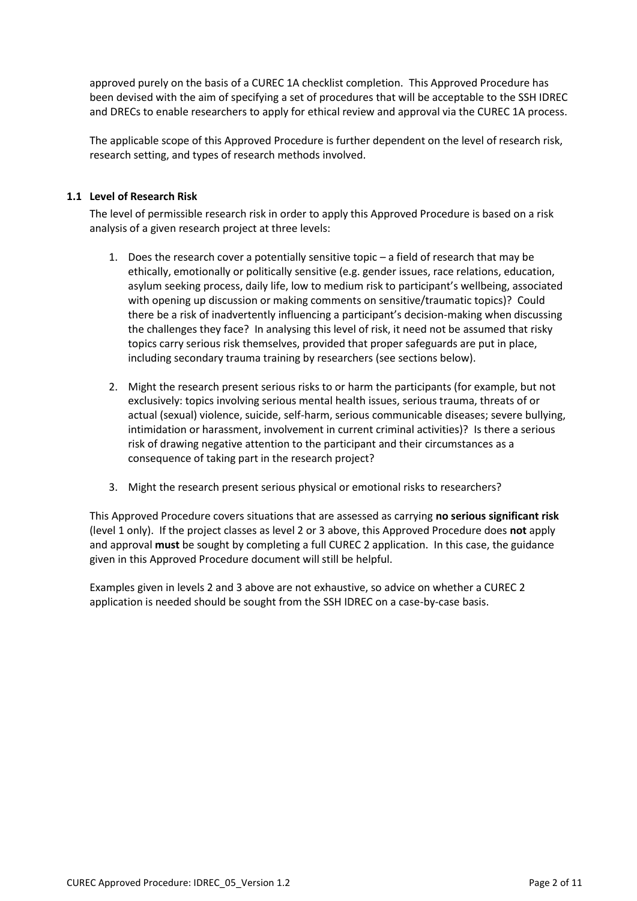approved purely on the basis of a CUREC 1A checklist completion. This Approved Procedure has been devised with the aim of specifying a set of procedures that will be acceptable to the SSH IDREC and DRECs to enable researchers to apply for ethical review and approval via the CUREC 1A process.

The applicable scope of this Approved Procedure is further dependent on the level of research risk, research setting, and types of research methods involved.

### **1.1 Level of Research Risk**

The level of permissible research risk in order to apply this Approved Procedure is based on a risk analysis of a given research project at three levels:

- 1. Does the research cover a potentially sensitive topic a field of research that may be ethically, emotionally or politically sensitive (e.g. gender issues, race relations, education, asylum seeking process, daily life, low to medium risk to participant's wellbeing, associated with opening up discussion or making comments on sensitive/traumatic topics)? Could there be a risk of inadvertently influencing a participant's decision-making when discussing the challenges they face? In analysing this level of risk, it need not be assumed that risky topics carry serious risk themselves, provided that proper safeguards are put in place, including secondary trauma training by researchers (see sections below).
- 2. Might the research present serious risks to or harm the participants (for example, but not exclusively: topics involving serious mental health issues, serious trauma, threats of or actual (sexual) violence, suicide, self-harm, serious communicable diseases; severe bullying, intimidation or harassment, involvement in current criminal activities)? Is there a serious risk of drawing negative attention to the participant and their circumstances as a consequence of taking part in the research project?
- 3. Might the research present serious physical or emotional risks to researchers?

This Approved Procedure covers situations that are assessed as carrying **no serious significant risk** (level 1 only). If the project classes as level 2 or 3 above, this Approved Procedure does **not** apply and approval **must** be sought by completing a full CUREC 2 application. In this case, the guidance given in this Approved Procedure document will still be helpful.

Examples given in levels 2 and 3 above are not exhaustive, so advice on whether a CUREC 2 application is needed should be sought from the SSH IDREC on a case-by-case basis.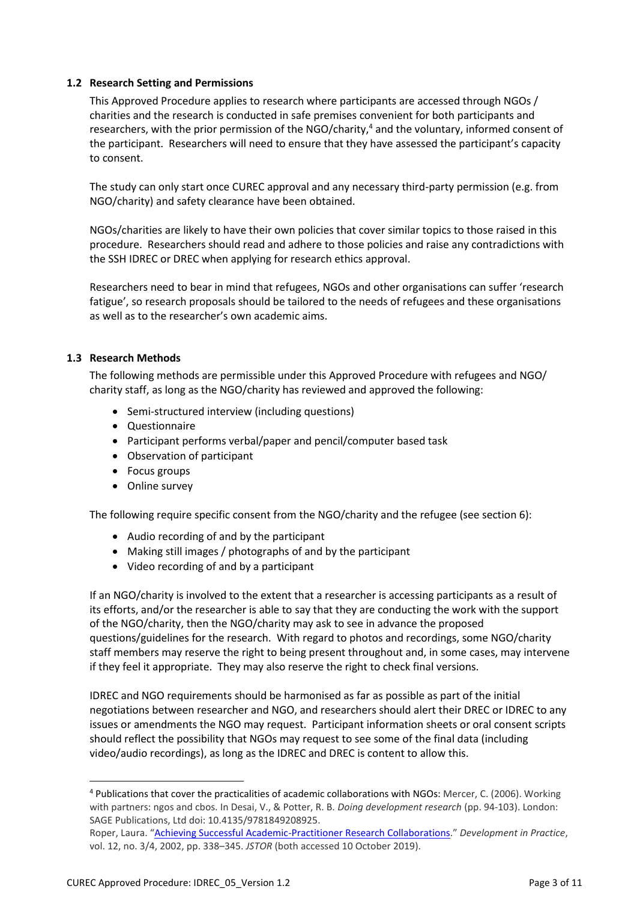### **1.2 Research Setting and Permissions**

This Approved Procedure applies to research where participants are accessed through NGOs / charities and the research is conducted in safe premises convenient for both participants and researchers, with the prior permission of the NGO/charity,<sup>4</sup> and the voluntary, informed consent of the participant. Researchers will need to ensure that they have assessed the participant's capacity to consent.

The study can only start once CUREC approval and any necessary third-party permission (e.g. from NGO/charity) and safety clearance have been obtained.

NGOs/charities are likely to have their own policies that cover similar topics to those raised in this procedure. Researchers should read and adhere to those policies and raise any contradictions with the SSH IDREC or DREC when applying for research ethics approval.

Researchers need to bear in mind that refugees, NGOs and other organisations can suffer 'research fatigue', so research proposals should be tailored to the needs of refugees and these organisations as well as to the researcher's own academic aims.

#### **1.3 Research Methods**

The following methods are permissible under this Approved Procedure with refugees and NGO/ charity staff, as long as the NGO/charity has reviewed and approved the following:

- Semi-structured interview (including questions)
- Questionnaire
- Participant performs verbal/paper and pencil/computer based task
- Observation of participant
- Focus groups
- Online survey

The following require specific consent from the NGO/charity and the refugee (see section 6):

- Audio recording of and by the participant
- Making still images / photographs of and by the participant
- Video recording of and by a participant

If an NGO/charity is involved to the extent that a researcher is accessing participants as a result of its efforts, and/or the researcher is able to say that they are conducting the work with the support of the NGO/charity, then the NGO/charity may ask to see in advance the proposed questions/guidelines for the research. With regard to photos and recordings, some NGO/charity staff members may reserve the right to being present throughout and, in some cases, may intervene if they feel it appropriate. They may also reserve the right to check final versions.

IDREC and NGO requirements should be harmonised as far as possible as part of the initial negotiations between researcher and NGO, and researchers should alert their DREC or IDREC to any issues or amendments the NGO may request. Participant information sheets or oral consent scripts should reflect the possibility that NGOs may request to see some of the final data (including video/audio recordings), as long as the IDREC and DREC is content to allow this.

l

<sup>4</sup> Publications that cover the practicalities of academic collaborations with NGOs: Mercer, C. (2006). Working with partners: ngos and cbos. In Desai, V., & Potter, R. B. *Doing development research* (pp. 94-103). London: SAGE Publications, Ltd doi: 10.4135/9781849208925.

Roper, Laura. "[Achieving Successful Academic-Practitioner Research Collaborations](http://www.jstor.org/stable/4029505)." *Development in Practice*, vol. 12, no. 3/4, 2002, pp. 338–345. *JSTOR* (both accessed 10 October 2019).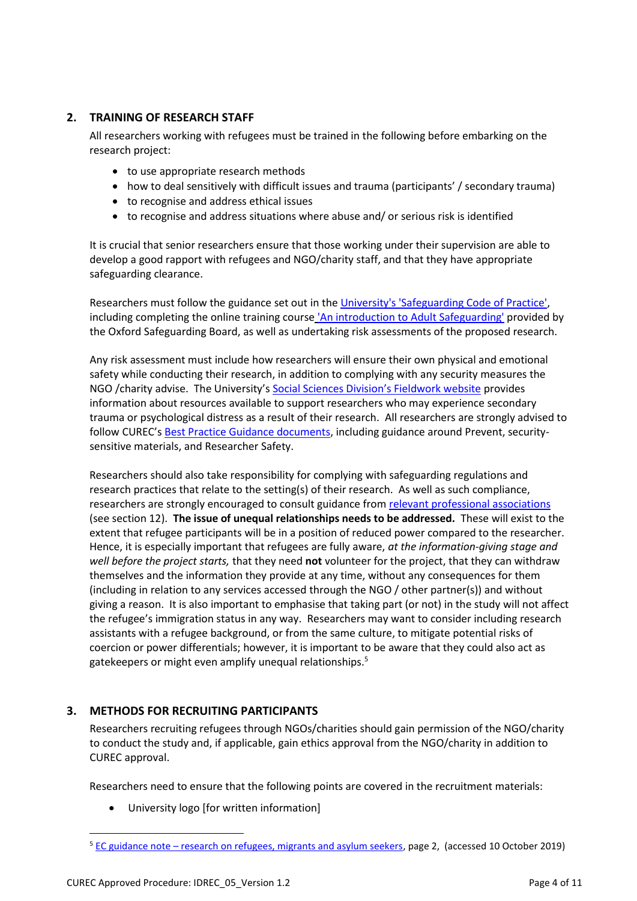# **2. TRAINING OF RESEARCH STAFF**

All researchers working with refugees must be trained in the following before embarking on the research project:

- to use appropriate research methods
- how to deal sensitively with difficult issues and trauma (participants' / secondary trauma)
- to recognise and address ethical issues
- to recognise and address situations where abuse and/ or serious risk is identified

It is crucial that senior researchers ensure that those working under their supervision are able to develop a good rapport with refugees and NGO/charity staff, and that they have appropriate safeguarding clearance.

Researchers must follow the guidance set out in the [University's 'Safeguarding Code of Practice',](https://www.admin.ox.ac.uk/personnel/cops/safeguarding/) including completing the online training course ['An introduction to Adult Safeguarding'](https://booking.osab.co.uk/elearning-list) provided by the Oxford Safeguarding Board, as well as undertaking risk assessments of the proposed research.

Any risk assessment must include how researchers will ensure their own physical and emotional safety while conducting their research, in addition to complying with any security measures the NGO /charity advise. The University'[s Social Sciences Division's Fieldwork website](https://www.socsci.ox.ac.uk/research-fieldwork) provides information about resources available to support researchers who may experience secondary trauma or psychological distress as a result of their research. All researchers are strongly advised to follow CUREC's **Best Practice Guidance documents**, including guidance around Prevent, securitysensitive materials, and Researcher Safety.

Researchers should also take responsibility for complying with safeguarding regulations and research practices that relate to the setting(s) of their research. As well as such compliance, researchers are strongly encouraged to consult guidance fro[m relevant professional associations](https://researchsupport.admin.ox.ac.uk/governance/ethics/resources/guidance) (see section 12). **The issue of unequal relationships needs to be addressed.** These will exist to the extent that refugee participants will be in a position of reduced power compared to the researcher. Hence, it is especially important that refugees are fully aware, *at the information-giving stage and well before the project starts,* that they need **not** volunteer for the project, that they can withdraw themselves and the information they provide at any time, without any consequences for them (including in relation to any services accessed through the NGO / other partner(s)) and without giving a reason. It is also important to emphasise that taking part (or not) in the study will not affect the refugee's immigration status in any way. Researchers may want to consider including research assistants with a refugee background, or from the same culture, to mitigate potential risks of coercion or power differentials; however, it is important to be aware that they could also act as gatekeepers or might even amplify unequal relationships.<sup>5</sup>

## **3. METHODS FOR RECRUITING PARTICIPANTS**

Researchers recruiting refugees through NGOs/charities should gain permission of the NGO/charity to conduct the study and, if applicable, gain ethics approval from the NGO/charity in addition to CUREC approval.

Researchers need to ensure that the following points are covered in the recruitment materials:

University logo [for written information]

 $\overline{\phantom{a}}$ 

<sup>5</sup> EC guidance note – [research on refugees, migrants and asylum seekers,](http://ec.europa.eu/research/participants/data/ref/h2020/other/hi/guide_research-refugees-migrants_en.pdf) page 2, (accessed 10 October 2019)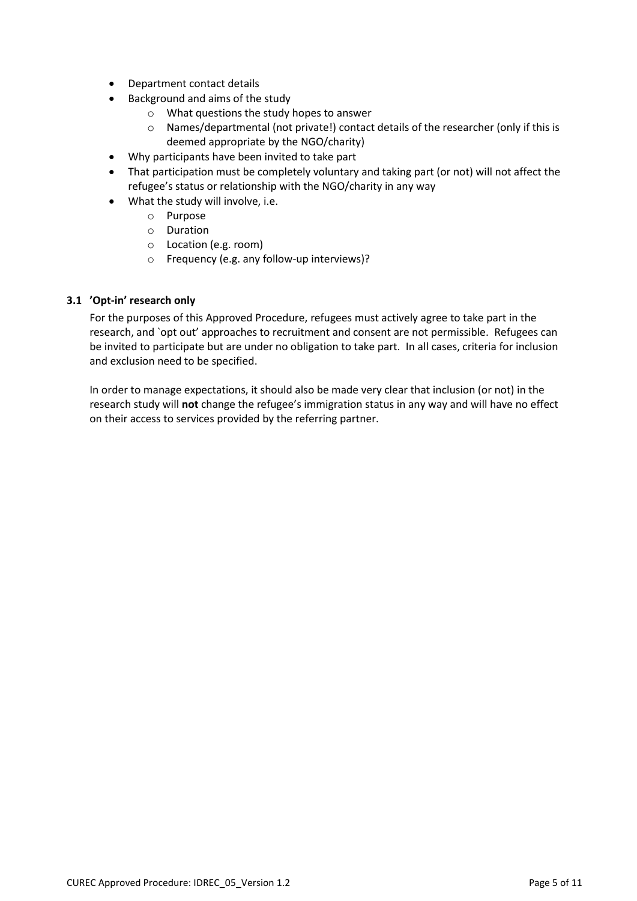- Department contact details
- Background and aims of the study
	- o What questions the study hopes to answer
	- o Names/departmental (not private!) contact details of the researcher (only if this is deemed appropriate by the NGO/charity)
- Why participants have been invited to take part
- That participation must be completely voluntary and taking part (or not) will not affect the refugee's status or relationship with the NGO/charity in any way
- What the study will involve, i.e.
	- o Purpose
	- o Duration
	- o Location (e.g. room)
	- o Frequency (e.g. any follow-up interviews)?

#### **3.1 'Opt-in' research only**

For the purposes of this Approved Procedure, refugees must actively agree to take part in the research, and `opt out' approaches to recruitment and consent are not permissible. Refugees can be invited to participate but are under no obligation to take part. In all cases, criteria for inclusion and exclusion need to be specified.

In order to manage expectations, it should also be made very clear that inclusion (or not) in the research study will **not** change the refugee's immigration status in any way and will have no effect on their access to services provided by the referring partner.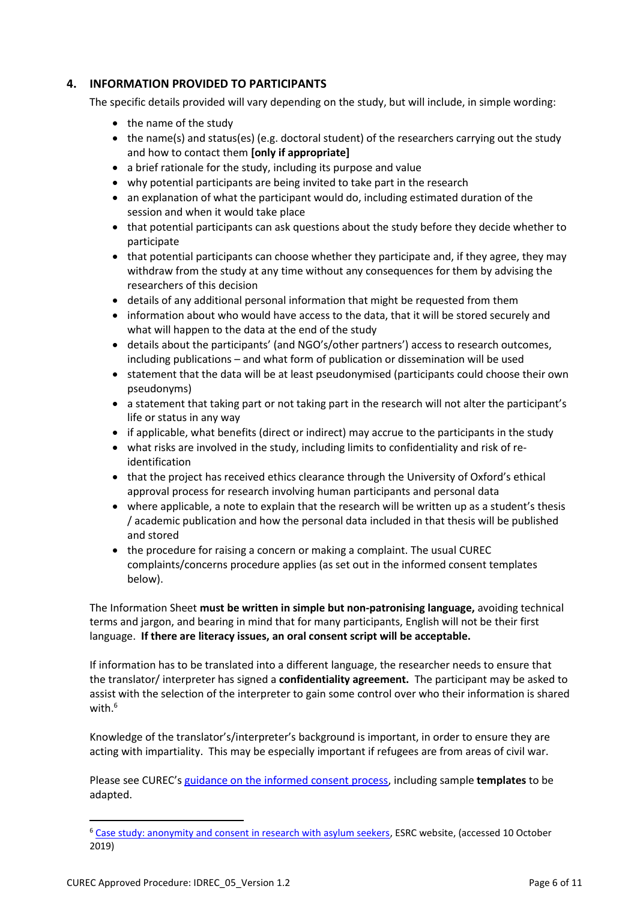# **4. INFORMATION PROVIDED TO PARTICIPANTS**

The specific details provided will vary depending on the study, but will include, in simple wording:

- the name of the study
- $\bullet$  the name(s) and status(es) (e.g. doctoral student) of the researchers carrying out the study and how to contact them **[only if appropriate]**
- a brief rationale for the study, including its purpose and value
- why potential participants are being invited to take part in the research
- $\bullet$  an explanation of what the participant would do, including estimated duration of the session and when it would take place
- that potential participants can ask questions about the study before they decide whether to participate
- that potential participants can choose whether they participate and, if they agree, they may withdraw from the study at any time without any consequences for them by advising the researchers of this decision
- details of any additional personal information that might be requested from them
- information about who would have access to the data, that it will be stored securely and what will happen to the data at the end of the study
- details about the participants' (and NGO's/other partners') access to research outcomes, including publications – and what form of publication or dissemination will be used
- statement that the data will be at least pseudonymised (participants could choose their own pseudonyms)
- a statement that taking part or not taking part in the research will not alter the participant's life or status in any way
- if applicable, what benefits (direct or indirect) may accrue to the participants in the study
- what risks are involved in the study, including limits to confidentiality and risk of reidentification
- that the project has received ethics clearance through the University of Oxford's ethical approval process for research involving human participants and personal data
- where applicable, a note to explain that the research will be written up as a student's thesis / academic publication and how the personal data included in that thesis will be published and stored
- the procedure for raising a concern or making a complaint. The usual CUREC complaints/concerns procedure applies (as set out in the informed consent templates below).

The Information Sheet **must be written in simple but non-patronising language,** avoiding technical terms and jargon, and bearing in mind that for many participants, English will not be their first language. **If there are literacy issues, an oral consent script will be acceptable.**

If information has to be translated into a different language, the researcher needs to ensure that the translator/ interpreter has signed a **confidentiality agreement.** The participant may be asked to assist with the selection of the interpreter to gain some control over who their information is shared with.<sup>6</sup>

Knowledge of the translator's/interpreter's background is important, in order to ensure they are acting with impartiality. This may be especially important if refugees are from areas of civil war.

Please see CUREC's [guidance on the informed consent process,](https://researchsupport.admin.ox.ac.uk/governance/ethics/resources/consent) including sample **templates** to be adapted.

l

<sup>6</sup> [Case study: anonymity and consent in research with asylum seekers,](https://esrc.ukri.org/funding/guidance-for-applicants/research-ethics/ethics-case-studies/case-study-anonymity-and-consent-in-research-with-asylum-seekers/) ESRC website, (accessed 10 October 2019)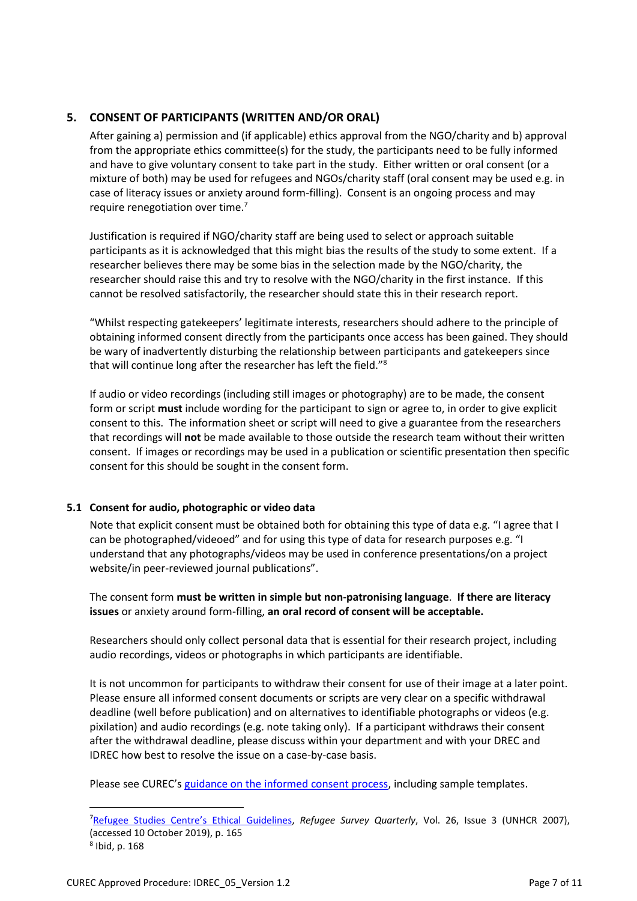# **5. CONSENT OF PARTICIPANTS (WRITTEN AND/OR ORAL)**

After gaining a) permission and (if applicable) ethics approval from the NGO/charity and b) approval from the appropriate ethics committee(s) for the study, the participants need to be fully informed and have to give voluntary consent to take part in the study. Either written or oral consent (or a mixture of both) may be used for refugees and NGOs/charity staff (oral consent may be used e.g. in case of literacy issues or anxiety around form-filling). Consent is an ongoing process and may require renegotiation over time.<sup>7</sup>

Justification is required if NGO/charity staff are being used to select or approach suitable participants as it is acknowledged that this might bias the results of the study to some extent. If a researcher believes there may be some bias in the selection made by the NGO/charity, the researcher should raise this and try to resolve with the NGO/charity in the first instance. If this cannot be resolved satisfactorily, the researcher should state this in their research report.

"Whilst respecting gatekeepers' legitimate interests, researchers should adhere to the principle of obtaining informed consent directly from the participants once access has been gained. They should be wary of inadvertently disturbing the relationship between participants and gatekeepers since that will continue long after the researcher has left the field."<sup>8</sup>

If audio or video recordings (including still images or photography) are to be made, the consent form or script **must** include wording for the participant to sign or agree to, in order to give explicit consent to this. The information sheet or script will need to give a guarantee from the researchers that recordings will **not** be made available to those outside the research team without their written consent. If images or recordings may be used in a publication or scientific presentation then specific consent for this should be sought in the consent form.

#### **5.1 Consent for audio, photographic or video data**

Note that explicit consent must be obtained both for obtaining this type of data e.g. "I agree that I can be photographed/videoed" and for using this type of data for research purposes e.g. "I understand that any photographs/videos may be used in conference presentations/on a project website/in peer-reviewed journal publications".

The consent form **must be written in simple but non-patronising language**. **If there are literacy issues** or anxiety around form-filling, **an oral record of consent will be acceptable.**

Researchers should only collect personal data that is essential for their research project, including audio recordings, videos or photographs in which participants are identifiable.

It is not uncommon for participants to withdraw their consent for use of their image at a later point. Please ensure all informed consent documents or scripts are very clear on a specific withdrawal deadline (well before publication) and on alternatives to identifiable photographs or videos (e.g. pixilation) and audio recordings (e.g. note taking only). If a participant withdraws their consent after the withdrawal deadline, please discuss within your department and with your DREC and IDREC how best to resolve the issue on a case-by-case basis.

Please see CUREC's [guidance on the informed consent process,](https://researchsupport.admin.ox.ac.uk/governance/ethics/resources/consent) including sample templates.

 $\overline{\phantom{a}}$ 

<sup>7</sup>[Refugee Studies Centre](https://academic.oup.com/rsq/article/26/3/162/1590874)'s Ethical Guidelines, *Refugee Survey Quarterly*, Vol. 26, Issue 3 (UNHCR 2007), (accessed 10 October 2019), p. 165 8 Ibid, p. 168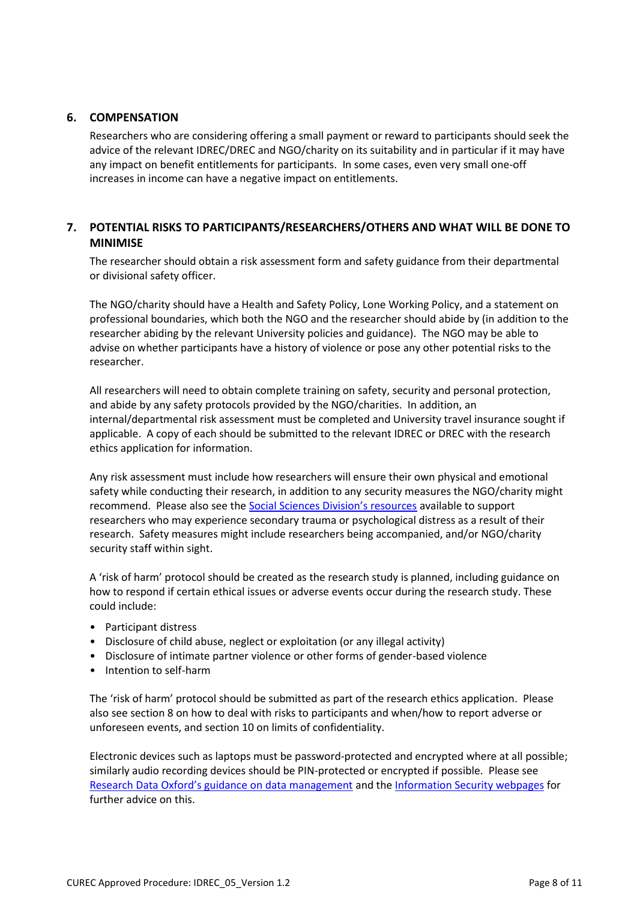### **6. COMPENSATION**

Researchers who are considering offering a small payment or reward to participants should seek the advice of the relevant IDREC/DREC and NGO/charity on its suitability and in particular if it may have any impact on benefit entitlements for participants. In some cases, even very small one-off increases in income can have a negative impact on entitlements.

# **7. POTENTIAL RISKS TO PARTICIPANTS/RESEARCHERS/OTHERS AND WHAT WILL BE DONE TO MINIMISE**

The researcher should obtain a risk assessment form and safety guidance from their departmental or divisional safety officer.

The NGO/charity should have a Health and Safety Policy, Lone Working Policy, and a statement on professional boundaries, which both the NGO and the researcher should abide by (in addition to the researcher abiding by the relevant University policies and guidance). The NGO may be able to advise on whether participants have a history of violence or pose any other potential risks to the researcher.

All researchers will need to obtain complete training on safety, security and personal protection, and abide by any safety protocols provided by the NGO/charities. In addition, an internal/departmental risk assessment must be completed and University travel insurance sought if applicable. A copy of each should be submitted to the relevant IDREC or DREC with the research ethics application for information.

Any risk assessment must include how researchers will ensure their own physical and emotional safety while conducting their research, in addition to any security measures the NGO/charity might recommend. Please also see the [Social Sciences Division's resources](https://www.socsci.ox.ac.uk/research-fieldwork) available to support researchers who may experience secondary trauma or psychological distress as a result of their research. Safety measures might include researchers being accompanied, and/or NGO/charity security staff within sight.

A 'risk of harm' protocol should be created as the research study is planned, including guidance on how to respond if certain ethical issues or adverse events occur during the research study. These could include:

- Participant distress
- Disclosure of child abuse, neglect or exploitation (or any illegal activity)
- Disclosure of intimate partner violence or other forms of gender-based violence
- Intention to self-harm

The 'risk of harm' protocol should be submitted as part of the research ethics application. Please also see section 8 on how to deal with risks to participants and when/how to report adverse or unforeseen events, and section 10 on limits of confidentiality.

Electronic devices such as laptops must be password-protected and encrypted where at all possible; similarly audio recording devices should be PIN-protected or encrypted if possible. Please see [Research Data Oxford's guidance on data management](http://researchdata.ox.ac.uk/home/managing-your-data-at-oxford/) and the [Information Security webpages](https://www.infosec.ox.ac.uk/) for further advice on this.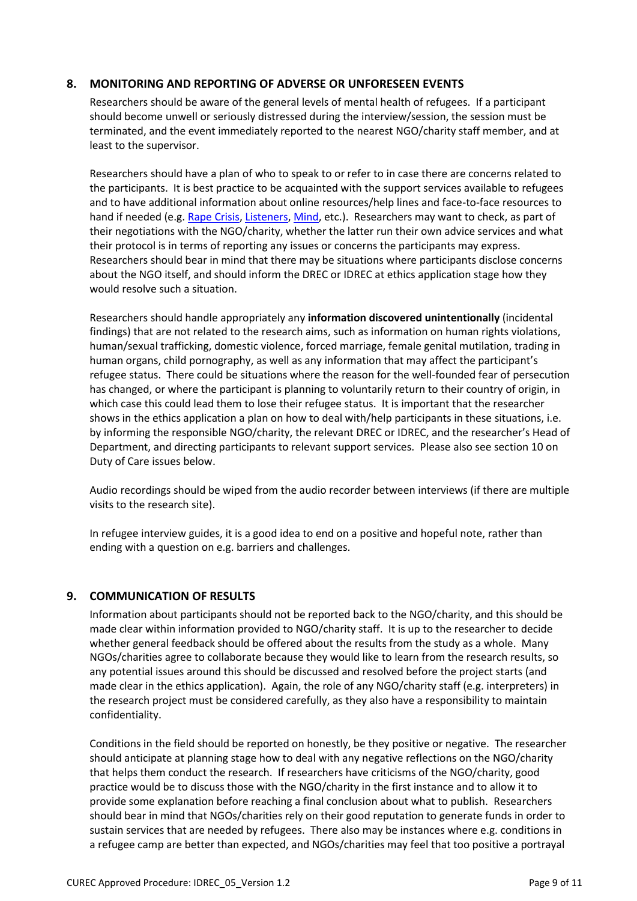### **8. MONITORING AND REPORTING OF ADVERSE OR UNFORESEEN EVENTS**

Researchers should be aware of the general levels of mental health of refugees. If a participant should become unwell or seriously distressed during the interview/session, the session must be terminated, and the event immediately reported to the nearest NGO/charity staff member, and at least to the supervisor.

Researchers should have a plan of who to speak to or refer to in case there are concerns related to the participants. It is best practice to be acquainted with the support services available to refugees and to have additional information about online resources/help lines and face-to-face resources to hand if needed (e.g[. Rape Crisis,](https://rapecrisis.org.uk/) [Listeners,](https://www.samaritans.org/your-community/our-work-prisons/listener-scheme) [Mind,](https://www.mind.org.uk/information-support/helplines/) etc.). Researchers may want to check, as part of their negotiations with the NGO/charity, whether the latter run their own advice services and what their protocol is in terms of reporting any issues or concerns the participants may express. Researchers should bear in mind that there may be situations where participants disclose concerns about the NGO itself, and should inform the DREC or IDREC at ethics application stage how they would resolve such a situation.

Researchers should handle appropriately any **information discovered unintentionally** (incidental findings) that are not related to the research aims, such as information on human rights violations, human/sexual trafficking, domestic violence, forced marriage, female genital mutilation, trading in human organs, child pornography, as well as any information that may affect the participant's refugee status. There could be situations where the reason for the well-founded fear of persecution has changed, or where the participant is planning to voluntarily return to their country of origin, in which case this could lead them to lose their refugee status. It is important that the researcher shows in the ethics application a plan on how to deal with/help participants in these situations, i.e. by informing the responsible NGO/charity, the relevant DREC or IDREC, and the researcher's Head of Department, and directing participants to relevant support services. Please also see section 10 on Duty of Care issues below.

Audio recordings should be wiped from the audio recorder between interviews (if there are multiple visits to the research site).

In refugee interview guides, it is a good idea to end on a positive and hopeful note, rather than ending with a question on e.g. barriers and challenges.

## **9. COMMUNICATION OF RESULTS**

Information about participants should not be reported back to the NGO/charity, and this should be made clear within information provided to NGO/charity staff. It is up to the researcher to decide whether general feedback should be offered about the results from the study as a whole. Many NGOs/charities agree to collaborate because they would like to learn from the research results, so any potential issues around this should be discussed and resolved before the project starts (and made clear in the ethics application). Again, the role of any NGO/charity staff (e.g. interpreters) in the research project must be considered carefully, as they also have a responsibility to maintain confidentiality.

Conditions in the field should be reported on honestly, be they positive or negative. The researcher should anticipate at planning stage how to deal with any negative reflections on the NGO/charity that helps them conduct the research. If researchers have criticisms of the NGO/charity, good practice would be to discuss those with the NGO/charity in the first instance and to allow it to provide some explanation before reaching a final conclusion about what to publish. Researchers should bear in mind that NGOs/charities rely on their good reputation to generate funds in order to sustain services that are needed by refugees. There also may be instances where e.g. conditions in a refugee camp are better than expected, and NGOs/charities may feel that too positive a portrayal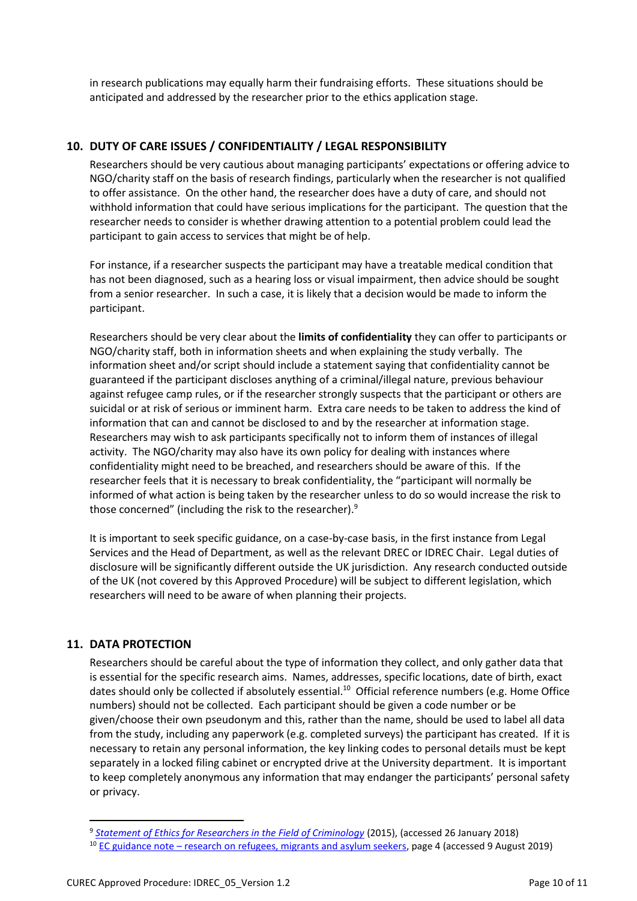in research publications may equally harm their fundraising efforts. These situations should be anticipated and addressed by the researcher prior to the ethics application stage.

# **10. DUTY OF CARE ISSUES / CONFIDENTIALITY / LEGAL RESPONSIBILITY**

Researchers should be very cautious about managing participants' expectations or offering advice to NGO/charity staff on the basis of research findings, particularly when the researcher is not qualified to offer assistance. On the other hand, the researcher does have a duty of care, and should not withhold information that could have serious implications for the participant. The question that the researcher needs to consider is whether drawing attention to a potential problem could lead the participant to gain access to services that might be of help.

For instance, if a researcher suspects the participant may have a treatable medical condition that has not been diagnosed, such as a hearing loss or visual impairment, then advice should be sought from a senior researcher. In such a case, it is likely that a decision would be made to inform the participant.

Researchers should be very clear about the **limits of confidentiality** they can offer to participants or NGO/charity staff, both in information sheets and when explaining the study verbally. The information sheet and/or script should include a statement saying that confidentiality cannot be guaranteed if the participant discloses anything of a criminal/illegal nature, previous behaviour against refugee camp rules, or if the researcher strongly suspects that the participant or others are suicidal or at risk of serious or imminent harm. Extra care needs to be taken to address the kind of information that can and cannot be disclosed to and by the researcher at information stage. Researchers may wish to ask participants specifically not to inform them of instances of illegal activity. The NGO/charity may also have its own policy for dealing with instances where confidentiality might need to be breached, and researchers should be aware of this. If the researcher feels that it is necessary to break confidentiality, the "participant will normally be informed of what action is being taken by the researcher unless to do so would increase the risk to those concerned" (including the risk to the researcher).<sup>9</sup>

It is important to seek specific guidance, on a case-by-case basis, in the first instance from Legal Services and the Head of Department, as well as the relevant DREC or IDREC Chair. Legal duties of disclosure will be significantly different outside the UK jurisdiction. Any research conducted outside of the UK (not covered by this Approved Procedure) will be subject to different legislation, which researchers will need to be aware of when planning their projects.

# **11. DATA PROTECTION**

l

Researchers should be careful about the type of information they collect, and only gather data that is essential for the specific research aims. Names, addresses, specific locations, date of birth, exact dates should only be collected if absolutely essential.<sup>10</sup> Official reference numbers (e.g. Home Office numbers) should not be collected. Each participant should be given a code number or be given/choose their own pseudonym and this, rather than the name, should be used to label all data from the study, including any paperwork (e.g. completed surveys) the participant has created. If it is necessary to retain any personal information, the key linking codes to personal details must be kept separately in a locked filing cabinet or encrypted drive at the University department. It is important to keep completely anonymous any information that may endanger the participants' personal safety or privacy.

<sup>9</sup> *[Statement of Ethics for Researchers in the Field of Criminology](http://www.britsoccrim.org/ethics/)* (2015), (accessed 26 January 2018)

<sup>&</sup>lt;sup>10</sup> EC guidance note – [research on refugees, migrants and asylum seekers,](http://ec.europa.eu/research/participants/data/ref/h2020/other/hi/guide_research-refugees-migrants_en.pdf) page 4 (accessed 9 August 2019)